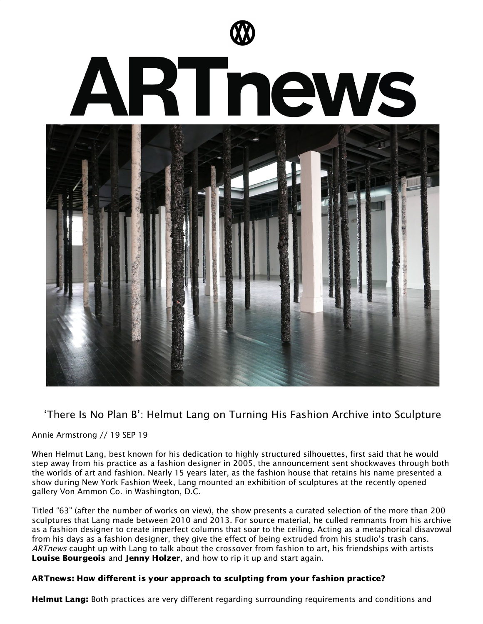

# 'There Is No Plan B': Helmut Lang on Turning His Fashion Archive into Sculpture

#### Annie Armstrong // 19 SEP 19

When Helmut Lang, best known for his dedication to highly structured silhouettes, first said that he would step away from his practice as a fashion designer in 2005, the announcement sent shockwaves through both the worlds of art and fashion. Nearly 15 years later, as the fashion house that retains his name presented a show during New York Fashion Week, Lang mounted an exhibition of sculptures at the recently opened gallery Von Ammon Co. in Washington, D.C.

Titled "63" (after the number of works on view), the show presents a curated selection of the more than 200 sculptures that Lang made between 2010 and 2013. For source material, he culled remnants from his archive as a fashion designer to create imperfect columns that soar to the ceiling. Acting as a metaphorical disavowal from his days as a fashion designer, they give the effect of being extruded from his studio's trash cans. ARTnews caught up with Lang to talk about the crossover from fashion to art, his friendships with artists Louise [Bourgeois](https://www.artnews.com/t/louise-bourgeois/) and Jenny [Holzer](https://www.artnews.com/t/jenny-holzer/), and how to rip it up and start again.

# ARTnews: How different is your approach to sculpting from your fashion practice?

**Helmut Lang:** Both practices are very different regarding surrounding requirements and conditions and